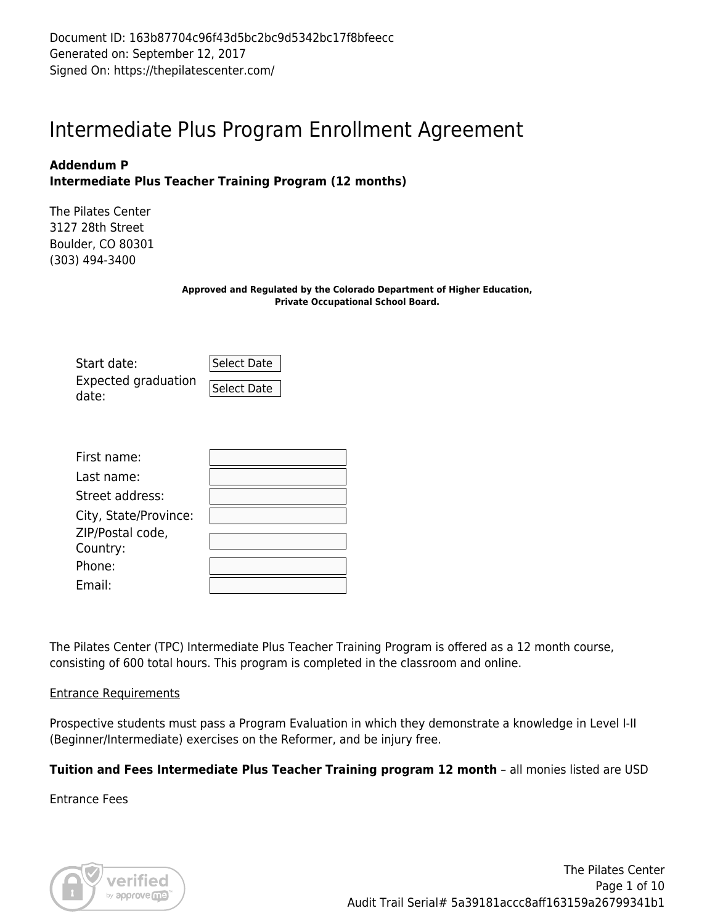Document ID: 163b87704c96f43d5bc2bc9d5342bc17f8bfeecc Generated on: September 12, 2017 Signed On: https://thepilatescenter.com/

# Intermediate Plus Program Enrollment Agreement

## **Addendum P Intermediate Plus Teacher Training Program (12 months)**

The Pilates Center 3127 28th Street Boulder, CO 80301 (303) 494-3400

> **Approved and Regulated by the Colorado Department of Higher Education, Private Occupational School Board.**

| Start date:                  | Select Date |
|------------------------------|-------------|
| Expected graduation<br>date: | Select Date |

| First name:           |  |
|-----------------------|--|
| Last name:            |  |
| Street address:       |  |
| City, State/Province: |  |
| ZIP/Postal code,      |  |
| Country:              |  |
| Phone:                |  |
| Email:                |  |

The Pilates Center (TPC) Intermediate Plus Teacher Training Program is offered as a 12 month course, consisting of 600 total hours. This program is completed in the classroom and online.

#### Entrance Requirements

Prospective students must pass a Program Evaluation in which they demonstrate a knowledge in Level I-II (Beginner/Intermediate) exercises on the Reformer, and be injury free.

## **Tuition and Fees Intermediate Plus Teacher Training program 12 month** – all monies listed are USD

Entrance Fees

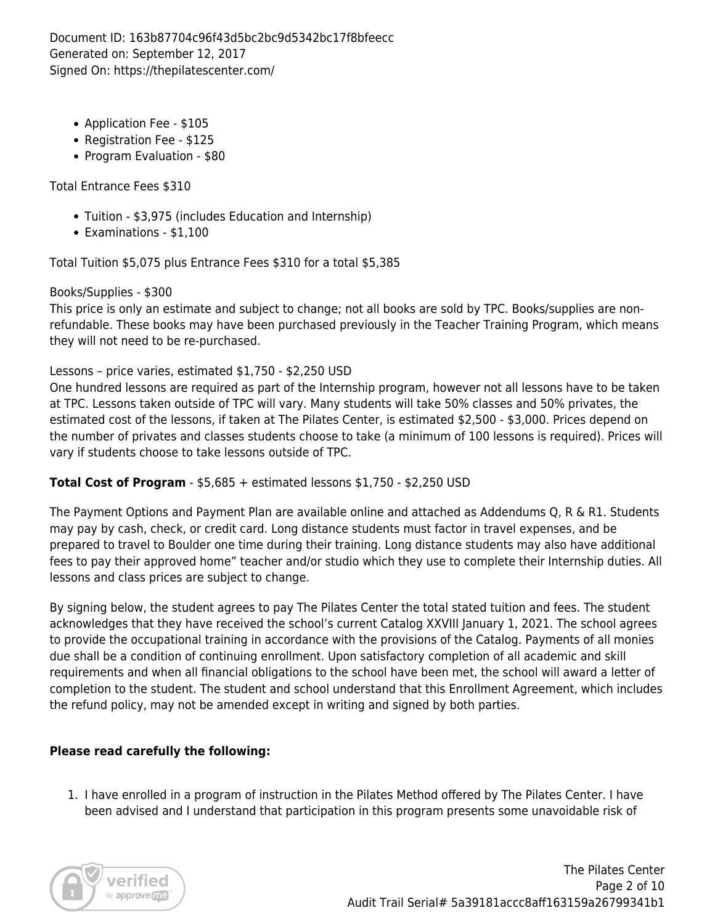Document ID: 163b87704c96f43d5bc2bc9d5342bc17f8bfeecc Generated on: September 12, 2017 Signed On: https://thepilatescenter.com/

- Application Fee \$105
- Registration Fee \$125
- Program Evaluation \$80

Total Entrance Fees \$310

- Tuition \$3,975 (includes Education and Internship)
- Examinations \$1,100

Total Tuition \$5,075 plus Entrance Fees \$310 for a total \$5,385

Books/Supplies - \$300

This price is only an estimate and subject to change; not all books are sold by TPC. Books/supplies are nonrefundable. These books may have been purchased previously in the Teacher Training Program, which means they will not need to be re-purchased.

## Lessons – price varies, estimated \$1,750 - \$2,250 USD

One hundred lessons are required as part of the Internship program, however not all lessons have to be taken at TPC. Lessons taken outside of TPC will vary. Many students will take 50% classes and 50% privates, the estimated cost of the lessons, if taken at The Pilates Center, is estimated \$2,500 - \$3,000. Prices depend on the number of privates and classes students choose to take (a minimum of 100 lessons is required). Prices will vary if students choose to take lessons outside of TPC.

## **Total Cost of Program** - \$5,685 + estimated lessons \$1,750 - \$2,250 USD

The Payment Options and Payment Plan are available online and attached as Addendums Q, R & R1. Students may pay by cash, check, or credit card. Long distance students must factor in travel expenses, and be prepared to travel to Boulder one time during their training. Long distance students may also have additional fees to pay their approved home" teacher and/or studio which they use to complete their Internship duties. All lessons and class prices are subject to change.

By signing below, the student agrees to pay The Pilates Center the total stated tuition and fees. The student acknowledges that they have received the school's current Catalog XXVIII January 1, 2021. The school agrees to provide the occupational training in accordance with the provisions of the Catalog. Payments of all monies due shall be a condition of continuing enrollment. Upon satisfactory completion of all academic and skill requirements and when all financial obligations to the school have been met, the school will award a letter of completion to the student. The student and school understand that this Enrollment Agreement, which includes the refund policy, may not be amended except in writing and signed by both parties.

# **Please read carefully the following:**

1. I have enrolled in a program of instruction in the Pilates Method offered by The Pilates Center. I have been advised and I understand that participation in this program presents some unavoidable risk of

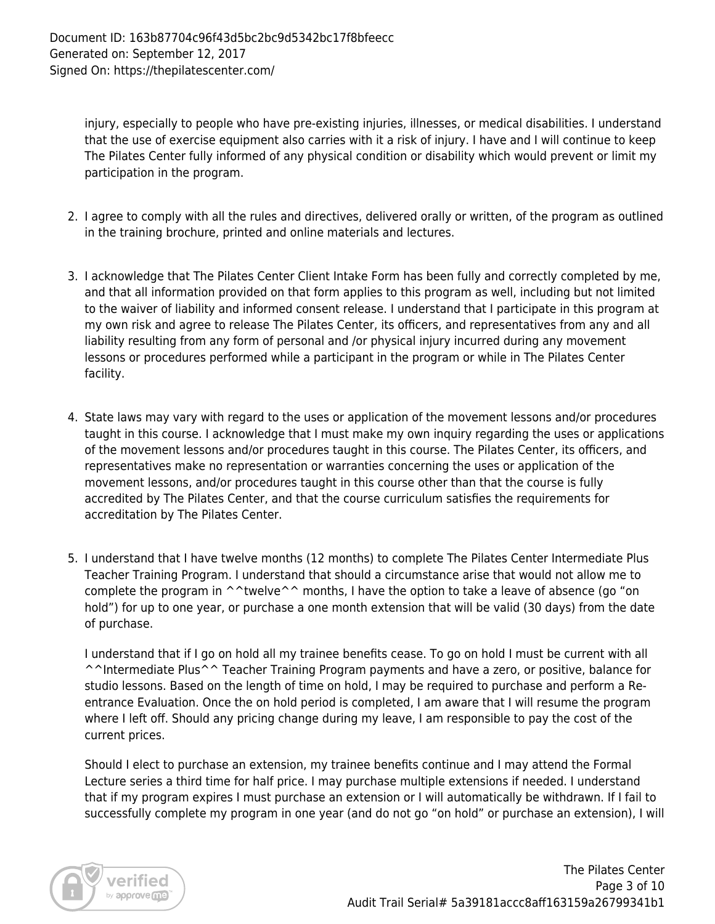injury, especially to people who have pre-existing injuries, illnesses, or medical disabilities. I understand that the use of exercise equipment also carries with it a risk of injury. I have and I will continue to keep The Pilates Center fully informed of any physical condition or disability which would prevent or limit my participation in the program.

- 2. I agree to comply with all the rules and directives, delivered orally or written, of the program as outlined in the training brochure, printed and online materials and lectures.
- 3. I acknowledge that The Pilates Center Client Intake Form has been fully and correctly completed by me, and that all information provided on that form applies to this program as well, including but not limited to the waiver of liability and informed consent release. I understand that I participate in this program at my own risk and agree to release The Pilates Center, its officers, and representatives from any and all liability resulting from any form of personal and /or physical injury incurred during any movement lessons or procedures performed while a participant in the program or while in The Pilates Center facility.
- 4. State laws may vary with regard to the uses or application of the movement lessons and/or procedures taught in this course. I acknowledge that I must make my own inquiry regarding the uses or applications of the movement lessons and/or procedures taught in this course. The Pilates Center, its officers, and representatives make no representation or warranties concerning the uses or application of the movement lessons, and/or procedures taught in this course other than that the course is fully accredited by The Pilates Center, and that the course curriculum satisfies the requirements for accreditation by The Pilates Center.
- 5. I understand that I have twelve months (12 months) to complete The Pilates Center Intermediate Plus Teacher Training Program. I understand that should a circumstance arise that would not allow me to complete the program in ^^twelve^^ months, I have the option to take a leave of absence (go "on hold") for up to one year, or purchase a one month extension that will be valid (30 days) from the date of purchase.

I understand that if I go on hold all my trainee benefits cease. To go on hold I must be current with all ^^Intermediate Plus^^ Teacher Training Program payments and have a zero, or positive, balance for studio lessons. Based on the length of time on hold, I may be required to purchase and perform a Reentrance Evaluation. Once the on hold period is completed, I am aware that I will resume the program where I left off. Should any pricing change during my leave, I am responsible to pay the cost of the current prices.

Should I elect to purchase an extension, my trainee benefits continue and I may attend the Formal Lecture series a third time for half price. I may purchase multiple extensions if needed. I understand that if my program expires I must purchase an extension or I will automatically be withdrawn. If I fail to successfully complete my program in one year (and do not go "on hold" or purchase an extension), I will

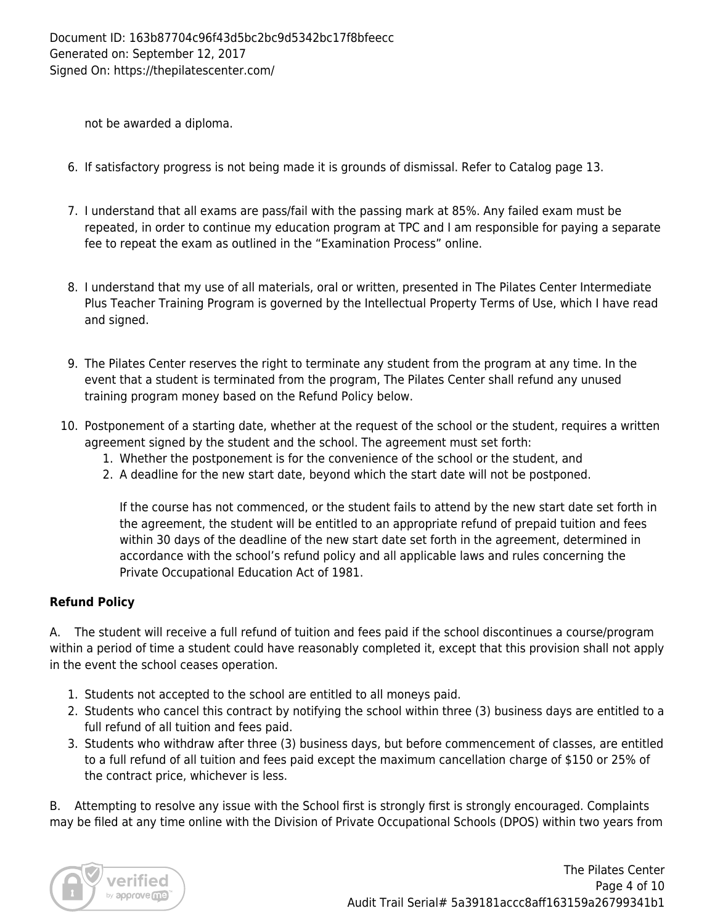not be awarded a diploma.

- 6. If satisfactory progress is not being made it is grounds of dismissal. Refer to Catalog page 13.
- 7. I understand that all exams are pass/fail with the passing mark at 85%. Any failed exam must be repeated, in order to continue my education program at TPC and I am responsible for paying a separate fee to repeat the exam as outlined in the "Examination Process" online.
- 8. I understand that my use of all materials, oral or written, presented in The Pilates Center Intermediate Plus Teacher Training Program is governed by the Intellectual Property Terms of Use, which I have read and signed.
- 9. The Pilates Center reserves the right to terminate any student from the program at any time. In the event that a student is terminated from the program, The Pilates Center shall refund any unused training program money based on the Refund Policy below.
- 10. Postponement of a starting date, whether at the request of the school or the student, requires a written agreement signed by the student and the school. The agreement must set forth:
	- 1. Whether the postponement is for the convenience of the school or the student, and
	- 2. A deadline for the new start date, beyond which the start date will not be postponed.

If the course has not commenced, or the student fails to attend by the new start date set forth in the agreement, the student will be entitled to an appropriate refund of prepaid tuition and fees within 30 days of the deadline of the new start date set forth in the agreement, determined in accordance with the school's refund policy and all applicable laws and rules concerning the Private Occupational Education Act of 1981.

# **Refund Policy**

A. The student will receive a full refund of tuition and fees paid if the school discontinues a course/program within a period of time a student could have reasonably completed it, except that this provision shall not apply in the event the school ceases operation.

- 1. Students not accepted to the school are entitled to all moneys paid.
- 2. Students who cancel this contract by notifying the school within three (3) business days are entitled to a full refund of all tuition and fees paid.
- 3. Students who withdraw after three (3) business days, but before commencement of classes, are entitled to a full refund of all tuition and fees paid except the maximum cancellation charge of \$150 or 25% of the contract price, whichever is less.

B. Attempting to resolve any issue with the School first is strongly first is strongly encouraged. Complaints may be filed at any time online with the Division of Private Occupational Schools (DPOS) within two years from

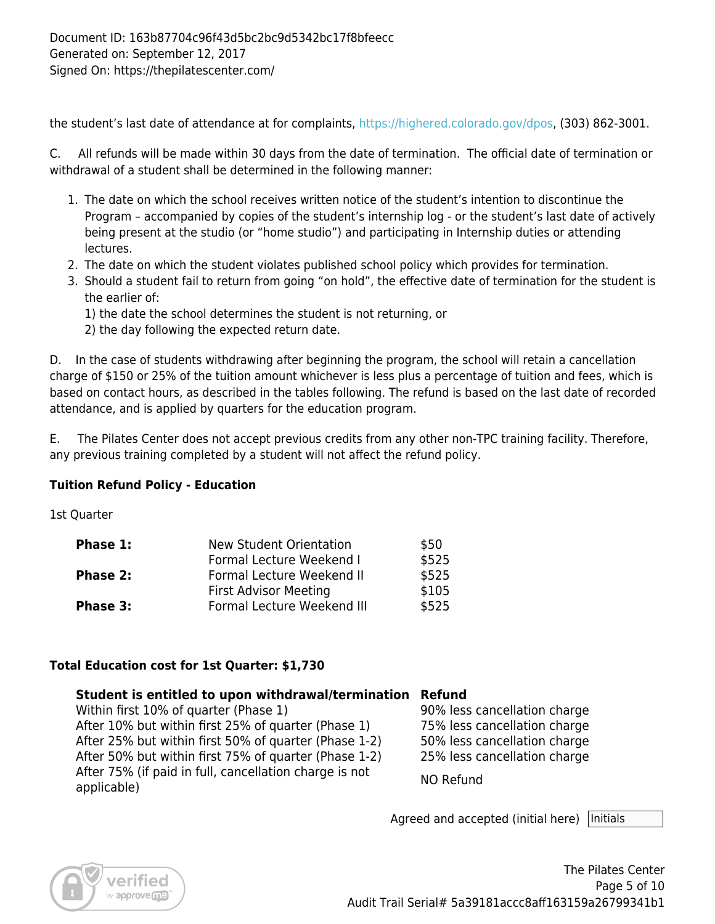the student's last date of attendance at for complaints, [https://highered.colorado.gov/dpos,](https://highered.colorado.gov/dpos) (303) 862-3001.

C. All refunds will be made within 30 days from the date of termination. The official date of termination or withdrawal of a student shall be determined in the following manner:

- 1. The date on which the school receives written notice of the student's intention to discontinue the Program – accompanied by copies of the student's internship log - or the student's last date of actively being present at the studio (or "home studio") and participating in Internship duties or attending lectures.
- 2. The date on which the student violates published school policy which provides for termination.
- 3. Should a student fail to return from going "on hold", the effective date of termination for the student is the earlier of:
	- 1) the date the school determines the student is not returning, or
	- 2) the day following the expected return date.

D. In the case of students withdrawing after beginning the program, the school will retain a cancellation charge of \$150 or 25% of the tuition amount whichever is less plus a percentage of tuition and fees, which is based on contact hours, as described in the tables following. The refund is based on the last date of recorded attendance, and is applied by quarters for the education program.

E. The Pilates Center does not accept previous credits from any other non-TPC training facility. Therefore, any previous training completed by a student will not affect the refund policy.

# **Tuition Refund Policy - Education**

1st Quarter

| Phase 1:        | New Student Orientation      | \$50  |
|-----------------|------------------------------|-------|
|                 | Formal Lecture Weekend I     | \$525 |
| <b>Phase 2:</b> | Formal Lecture Weekend II    | \$525 |
|                 | <b>First Advisor Meeting</b> | \$105 |
| Phase 3:        | Formal Lecture Weekend III   | \$525 |

## **Total Education cost for 1st Quarter: \$1,730**

## **Student is entitled to upon withdrawal/termination Refund**

Within first 10% of quarter (Phase 1) 400 90% less cancellation charge After 10% but within first 25% of quarter (Phase 1) 75% less cancellation charge After 25% but within first 50% of quarter (Phase 1-2) 50% less cancellation charge After 50% but within first 75% of quarter (Phase 1-2) 25% less cancellation charge After 75% (if paid in full, cancellation charge is not NO Refund<br>applicable)

Agreed and accepted (initial here) | Initials

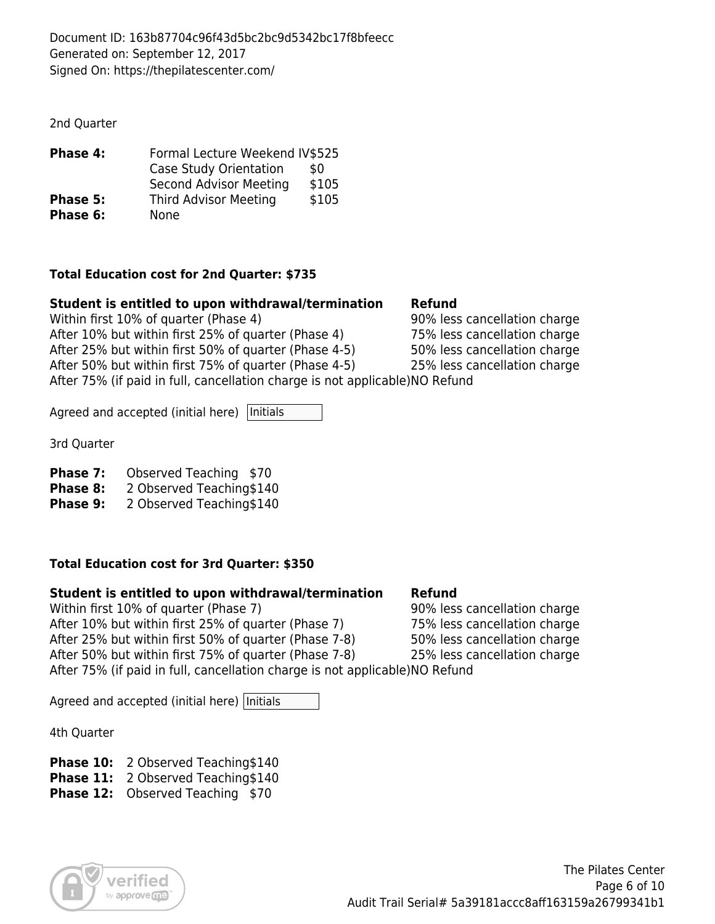2nd Quarter

| Phase 4: | Formal Lecture Weekend IV\$525 |       |
|----------|--------------------------------|-------|
|          | Case Study Orientation         | \$0   |
|          | Second Advisor Meeting         | \$105 |
| Phase 5: | <b>Third Advisor Meeting</b>   | \$105 |
| Phase 6: | <b>None</b>                    |       |

#### **Total Education cost for 2nd Quarter: \$735**

## **Student is entitled to upon withdrawal/termination Refund**

Within first 10% of quarter (Phase 4) 90% less cancellation charge After 10% but within first 25% of quarter (Phase 4) 75% less cancellation charge After 25% but within first 50% of quarter (Phase 4-5) 50% less cancellation charge After 50% but within first 75% of quarter (Phase 4-5) 25% less cancellation charge After 75% (if paid in full, cancellation charge is not applicable)NO Refund

Agreed and accepted (initial here)  $|$ Initials

3rd Quarter

**Phase 7:** Observed Teaching \$70

**Phase 8:** 2 Observed Teaching\$140

**Phase 9:** 2 Observed Teaching\$140

## **Total Education cost for 3rd Quarter: \$350**

## **Student is entitled to upon withdrawal/termination Refund**

Within first 10% of quarter (Phase 7) 90% less cancellation charge After 10% but within first 25% of quarter (Phase 7) 75% less cancellation charge After 25% but within first 50% of quarter (Phase 7-8) 50% less cancellation charge After 50% but within first 75% of quarter (Phase 7-8) 25% less cancellation charge After 75% (if paid in full, cancellation charge is not applicable)NO Refund

Agreed and accepted (initial here) Initials

4th Quarter

**Phase 10:** 2 Observed Teaching\$140

**Phase 11:** 2 Observed Teaching\$140

**Phase 12:** Observed Teaching \$70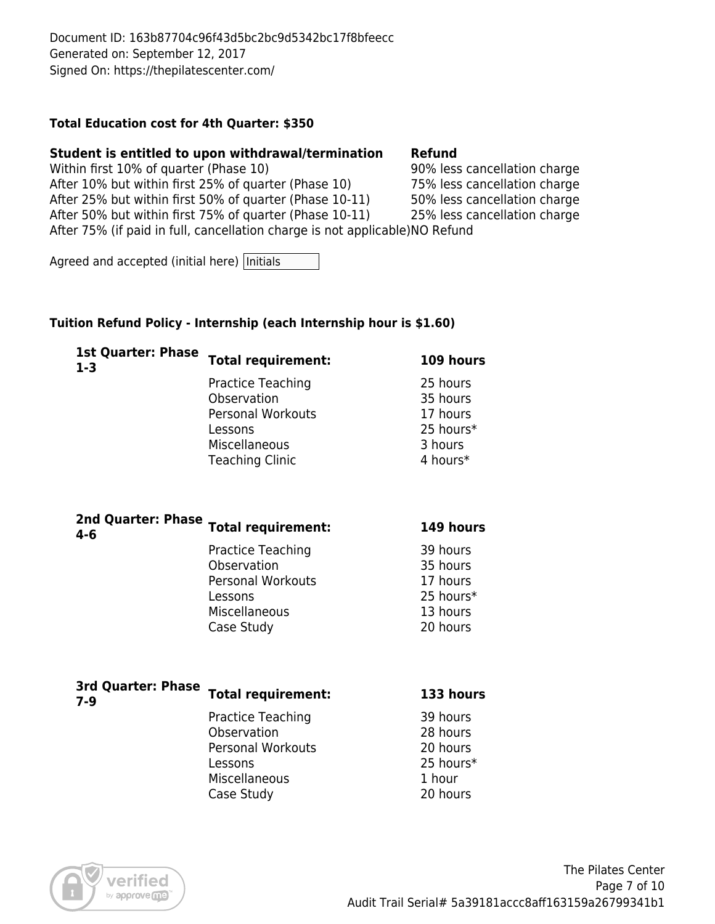#### **Total Education cost for 4th Quarter: \$350**

#### **Student is entitled to upon withdrawal/termination Refund**

Within first 10% of quarter (Phase 10) 90% less cancellation charge After 10% but within first 25% of quarter (Phase 10) 75% less cancellation charge After 25% but within first 50% of quarter (Phase 10-11) 50% less cancellation charge After 50% but within first 75% of quarter (Phase 10-11) 25% less cancellation charge After 75% (if paid in full, cancellation charge is not applicable)NO Refund

Agreed and accepted (initial here) Initials

#### **Tuition Refund Policy - Internship (each Internship hour is \$1.60)**

| <b>Total requirement:</b> | 109 hours                 |
|---------------------------|---------------------------|
| <b>Practice Teaching</b>  | 25 hours                  |
| Observation               | 35 hours                  |
| <b>Personal Workouts</b>  | 17 hours                  |
| Lessons                   | 25 hours*                 |
| Miscellaneous             | 3 hours                   |
| <b>Teaching Clinic</b>    | 4 hours*                  |
|                           |                           |
|                           | <b>1st Quarter: Phase</b> |

| 2nd Quarter: Phase<br>4-6 | <b>Total requirement:</b>                                                                              | 149 hours                                                             |
|---------------------------|--------------------------------------------------------------------------------------------------------|-----------------------------------------------------------------------|
|                           | Practice Teaching<br>Observation<br><b>Personal Workouts</b><br>Lessons<br>Miscellaneous<br>Case Study | 39 hours<br>35 hours<br>17 hours<br>25 hours*<br>13 hours<br>20 hours |
| <b>3rd Ouartor: Dhace</b> |                                                                                                        |                                                                       |

| <b>JIU VUGILEII FIIGJE</b><br>7-9 | <b>Total requirement:</b> | 133 hours |
|-----------------------------------|---------------------------|-----------|
|                                   | Practice Teaching         | 39 hours  |
|                                   | Observation               | 28 hours  |
|                                   | <b>Personal Workouts</b>  | 20 hours  |
|                                   | Lessons                   | 25 hours* |
|                                   | Miscellaneous             | 1 hour    |
|                                   | Case Study                | 20 hours  |
|                                   |                           |           |

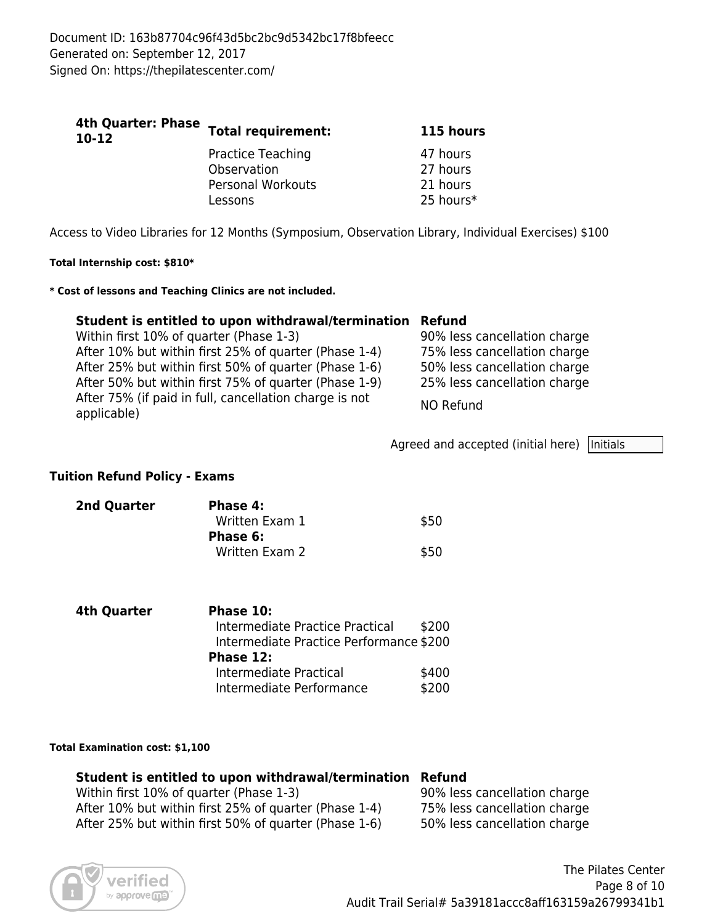| $10-12$ | 4th Quarter: Phase Total requirement:                                          | 115 hours                                     |
|---------|--------------------------------------------------------------------------------|-----------------------------------------------|
|         | <b>Practice Teaching</b><br>Observation<br><b>Personal Workouts</b><br>Lessons | 47 hours<br>27 hours<br>21 hours<br>25 hours* |

Access to Video Libraries for 12 Months (Symposium, Observation Library, Individual Exercises) \$100

#### **Total Internship cost: \$810\***

#### **\* Cost of lessons and Teaching Clinics are not included.**

#### **Student is entitled to upon withdrawal/termination Refund**

| Within first 10% of quarter (Phase 1-3)                               | 90% less cancellation charge |
|-----------------------------------------------------------------------|------------------------------|
| After 10% but within first 25% of quarter (Phase 1-4)                 | 75% less cancellation charge |
| After 25% but within first 50% of quarter (Phase 1-6)                 | 50% less cancellation charge |
| After 50% but within first 75% of quarter (Phase 1-9)                 | 25% less cancellation charge |
| After 75% (if paid in full, cancellation charge is not<br>applicable) | NO Refund                    |

Agreed and accepted (initial here)  $|$ Initials

#### **Tuition Refund Policy - Exams**

| 2nd Quarter | Phase 4:       |      |
|-------------|----------------|------|
|             | Written Exam 1 | \$50 |
|             | Phase 6:       |      |
|             | Written Exam 2 | \$50 |

| 4th Quarter | Phase 10:                               |       |
|-------------|-----------------------------------------|-------|
|             | Intermediate Practice Practical         | \$200 |
|             | Intermediate Practice Performance \$200 |       |
|             | Phase 12:                               |       |
|             | Intermediate Practical                  | \$400 |
|             | Intermediate Performance                | \$200 |

#### **Total Examination cost: \$1,100**

## **Student is entitled to upon withdrawal/termination Refund**

Within first 10% of quarter (Phase 1-3) 90% less cancellation charge After 10% but within first 25% of quarter (Phase 1-4) 75% less cancellation charge After 25% but within first 50% of quarter (Phase 1-6) 50% less cancellation charge

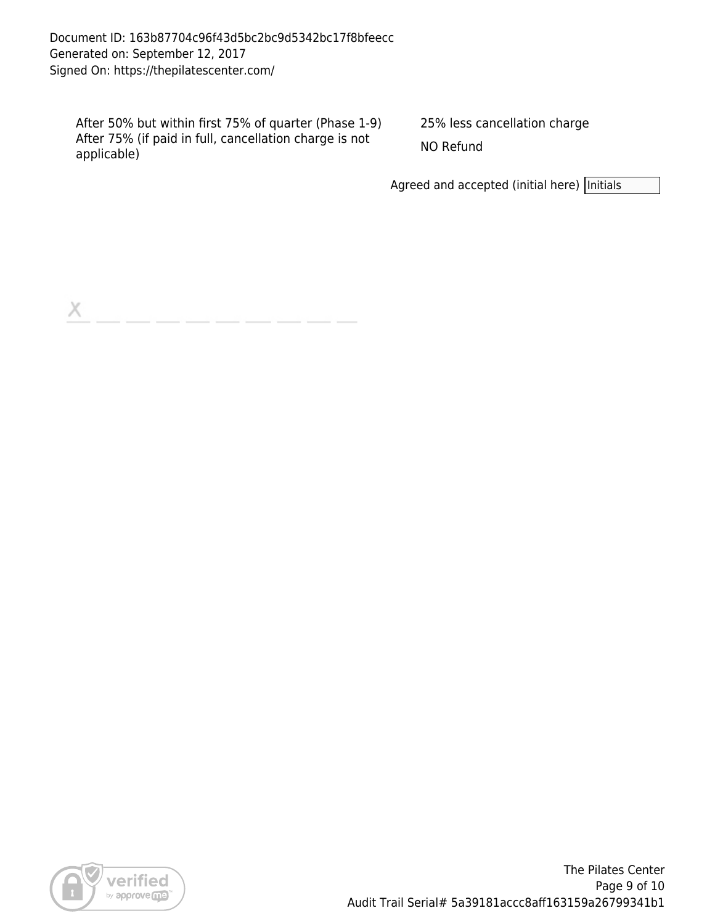Document ID: 163b87704c96f43d5bc2bc9d5342bc17f8bfeecc Generated on: September 12, 2017 Signed On: https://thepilatescenter.com/

After 50% but within first 75% of quarter (Phase 1-9) 25% less cancellation charge After 75% (if paid in full, cancellation charge is not NO Refund<br>applicable)

Agreed and accepted (initial here) Initials

X



The Pilates Center Page 9 of 10 Audit Trail Serial# 5a39181accc8aff163159a26799341b1